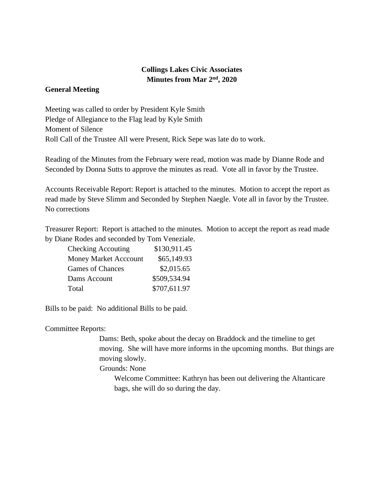## **Collings Lakes Civic Associates Minutes from Mar 2nd, 2020**

## **General Meeting**

Meeting was called to order by President Kyle Smith Pledge of Allegiance to the Flag lead by Kyle Smith Moment of Silence Roll Call of the Trustee All were Present, Rick Sepe was late do to work.

Reading of the Minutes from the February were read, motion was made by Dianne Rode and Seconded by Donna Sutts to approve the minutes as read. Vote all in favor by the Trustee.

Accounts Receivable Report: Report is attached to the minutes. Motion to accept the report as read made by Steve Slimm and Seconded by Stephen Naegle. Vote all in favor by the Trustee. No corrections

Treasurer Report: Report is attached to the minutes. Motion to accept the report as read made by Diane Rodes and seconded by Tom Veneziale.

| <b>Checking Accouting</b>    | \$130,911.45 |
|------------------------------|--------------|
| <b>Money Market Acccount</b> | \$65,149.93  |
| Games of Chances             | \$2,015.65   |
| Dams Account                 | \$509,534.94 |
| Total                        | \$707,611.97 |

Bills to be paid: No additional Bills to be paid.

Committee Reports:

Dams: Beth, spoke about the decay on Braddock and the timeline to get moving. She will have more informs in the upcoming months. But things are moving slowly.

Grounds: None

Welcome Committee: Kathryn has been out delivering the Altanticare bags, she will do so during the day.